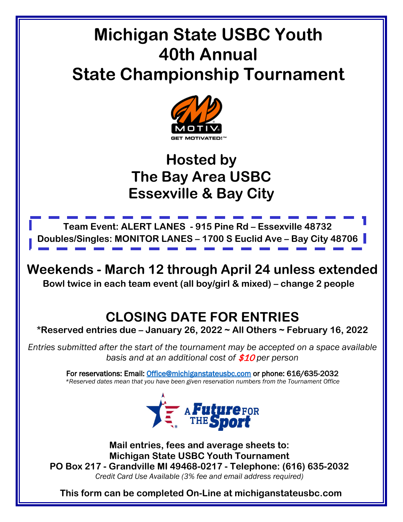# **Michigan State USBC Youth 40th Annual State Championship Tournament**



## **Hosted by The Bay Area USBC Essexville & Bay City**



**Bowl twice in each team event (all boy/girl & mixed) – change 2 people Weekends - March 12 through April 24 unless extended**

### **CLOSING DATE FOR ENTRIES**

**\*Reserved entries due – January 26, 2022 ~ All Others ~ February 16, 2022**

*Entries submitted after the start of the tournament may be accepted on a space available basis and at an additional cost of* \$10 *per person*

> For reservations: Email: [Office@michiganstateusbc.com](mailto:Office@michiganstateusbc.com) or phone: 616/635-2032 *\*Reserved dates mean that you have been given reservation numbers from the Tournament Office*



**Mail entries, fees and average sheets to: Michigan State USBC Youth Tournament PO Box 217 - Grandville MI 49468-0217 - Telephone: (616) 635-2032** *Credit Card Use Available (3% fee and email address required)*

**This form can be completed On-Line at michiganstateusbc.com**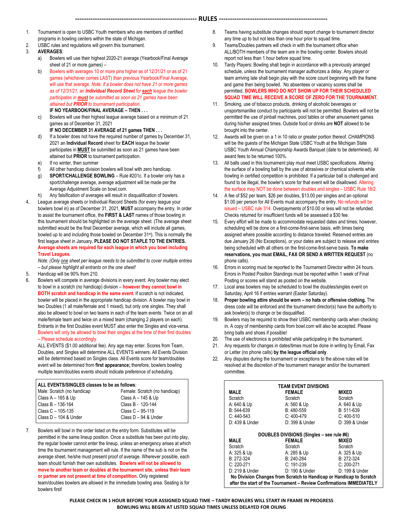- 1. Tournament is open to USBC Youth members who are members of certified programs in bowling centers within the state of Michigan.
- 2. USBC rules and regulations will govern this tournament.
- 3. **AVERAGES**:
	- a) Bowlers will use their highest 2020-21 average (Yearbook/Final Average sheet of 21 or more games) –
	- b) Bowlers with averages 10 or more pins higher as of 12/31/21 or as of 21 games (whichever comes LAST) than previous Yearbook/Final Average, will use that average. *Note: if a bowler does not have 21 or more games as of 12/31/21, an Individual Record Sheet for each league the bowler participates in must be submitted as soon as 21 games have been attained but PRIOR to tournament participation.* **IF NO YEARBOOK/FINAL AVERAGE – THEN . . .**
	- c) Bowlers will use their highest league average based on a minimum of 21 games as of December 31, 2021
	- **IF NO DECEMBER 31 AVERAGE of 21 games THEN . . .** d) If a bowler does not have the required number of games by December 31, 2021 an **Individual Record** sheet for **EACH** league the bowler participates in **MUST** be submitted as soon as 21 games have been attained but **PRIOR** to tournament participation.
	- e) If no winter, then summer
	- f) All other handicap division bowlers will bowl with zero handicap.
	- g) **SPORT/CHALLENGE BOWLING** Rule #201c. If a bowler only has a sport/challenge average, average adjustment will be made per the Average Adjustment Scale on bowl.com.
	- h) Any falsification of averages will result in disqualification of bowlers.
- 4. League average sheets or Individual Record Sheets (for every league your bowlers bowl in) as of December 31, 2021, **MUST** accompany the entry. In order to assist the tournament office, the **FIRST & LAST** names of those bowling in this tournament should be highlighted on the average sheet. (The average sheet submitted would be the final December average, which will include all games, bowled up to and including those bowled on December 31<sup>st</sup>). This is normally the first league sheet in January**. PLEASE DO NOT STAPLE TO THE ENTRIES. Average sheets are required for each league in which you bowl including Travel Leagues***.*

*Note: (Only one sheet per league needs to be submitted to cover multiple entries – but please highlight all entrants on the one sheet!*

- Handicap will be 90% from 210.
- 6. Bowlers will compete in average divisions in every event. Any bowler may elect to bowl in a scratch (no handicap) division – **however they cannot bowl in BOTH scratch and handicap in the same event.** If scratch is not indicated, bowler will be placed in the appropriate handicap division. A bowler may bowl in two Doubles (1 all male/female and 1 mixed), but only one singles. They shall also be allowed to bowl on two teams in each of the team events: Twice on an all male/female team and twice on a mixed team (changing 2 players on each). Entrants in the first Doubles event MUST also enter the Singles and vice-versa. Bowlers will only be allowed to bowl their singles at the time of their first doubles – Please schedule accordingly.

ALL EVENTS (\$1.00 additional fee). Any age may enter. Scores from Team, Doubles, and Singles will determine ALL EVENTS winners. All Events Division will be determined based on Singles class. All Events score for team/doubles event will be determined from **first appearance;** therefore, bowlers bowling multiple team/doubles events should indicate preference of scheduling.

| ALL EVENTS/SINGLES classes to be as follows: |                               |
|----------------------------------------------|-------------------------------|
| Male: Scratch (no handicap                   | Female: Scratch (no handicap) |
| $  Class A - 165 & Up$                       | Class A - 145 & Up            |
| $\vert$ Class B - 136-164                    | Class B - 120-144             |
| Class $C - 105 - 135$                        | Class C - 95-119              |
| Class D - 104 & Under                        | Class D - 94 & Under          |

7. Bowlers will bowl in the order listed on the entry form. Substitutes will be permitted in the same lineup position. Once a substitute has been put into play, the regular bowler cannot enter the lineup, unless an emergency arises at which time the tournament management will rule. If the name of the sub is not on the average sheet, he/she must present proof of average. Wherever possible, each team should furnish their own substitutes. **Bowlers will not be allowed to move to another team or doubles at the tournament site, unless their team or partner are not present at time of competition.** Only registered team/doubles bowlers are allowed in the immediate bowling area. Seating is for bowlers first!

- 8. Teams having substitute changes should report change to tournament director any time up to but not less than one hour prior to squad time.
- 9. Teams/Doubles partners will check in with the tournament office when ALL/BOTH members of the team are in the bowling center. Bowlers should report not less than 1 hour before squad time.
- 10. Tardy Players: Bowling shall begin in accordance with a previously arranged schedule, unless the tournament manager authorizes a delay. Any player or team arriving late shall begin play with the score count beginning with the frame and game then being bowled. No absentees or vacancy scores shall be permitted. **BOWLERS WHO DO NOT SHOW UP FOR THEIR SCHEDULED SQUAD TIME WILL RECEIVE A SCORE OF ZERO FOR THE TOURNAMENT.**
- 11. Smoking, use of tobacco products, drinking of alcoholic beverages or unsportsmanlike conduct by participants will not be permitted. Bowlers will not be permitted the use of pinball machines, pool tables or other amusement games during his/her assigned times. Outside food or drinks are **NOT** allowed to be brought into the center.
- 12. Awards will be given on a 1 in 10 ratio or greater portion thereof. CHAMPIONS will be the guests of the Michigan State USBC Youth at the Michigan State USBC Youth Annual Championship Awards Banquet (date to be determined). All award fees to be returned 100%.
- 13. All balls used in this tournament play must meet USBC specifications. Altering the surface of a bowling ball by the use of abrasives or chemical solvents while bowling in certified competition is prohibited. If a particular ball is challenged and found to be illegal, the bowler's score for that event will be disallowed. Altering the surface may NOT be done between doubles and singles – USBC Rule 18/2.
- 14. A fee of \$52 per team, \$26 per doubles, \$13.00 per singles and an optional \$1.00 per person for All Events must accompany the entry. No refunds will be issued – USBC rule 314. Overpayments of \$10.00 or less will not be refunded. Checks returned for insufficient funds will be assessed a \$30 fee.
- 15. Every effort will be made to accommodate requested dates and times; however, scheduling will be done on a first-come-first-serve basis, with times being assigned where possible according to distance traveled. Reserved entries are due January 26 (No Exceptions), or your dates are subject to release and entries being scheduled with all others on the first-come-first-serve basis. **To make reservations, you must EMAIL, FAX OR SEND A WRITTEN REQUEST** (no phone calls).
- 16. Errors in scoring must be reported to the Tournament Director within 24 hours. Errors in Posted Position Standings must be reported within 1 week of Final Posting or scores will stand as posted on the website.
- 17. Local area bowlers may be scheduled to bowl the doubles/singles event on Saturday, April 16 if entries warrant (Easter Saturday).
- 18. **Proper bowling attire should be worn – no hats or offensive clothing.** The dress code will be enforced and the tournament director(s) have the authority to ask bowler(s) to change or be disqualified.
- 19. Bowlers may be required to show their USBC membership cards when checking in. A copy of membership cards from bowl.com will also be accepted. Please bring balls and shoes if possible!
- The use of electronics is prohibited while participating in the tournament.
- 21. Any requests for changes in dates/times must be done in writing by Email, Fax or Letter (no phone calls) **by the league official only**.
- 22. Any disputes during the tournament or exceptions to the above rules will be resolved at the discretion of the tournament manager and/or the tournament committee.

| <b>TEAM EVENT DIVISIONS</b> |                                                                                                                                             |                |  |  |  |
|-----------------------------|---------------------------------------------------------------------------------------------------------------------------------------------|----------------|--|--|--|
| <b>MALE</b>                 | <b>FEMALE</b>                                                                                                                               | MIXED          |  |  |  |
| Scratch                     | Scratch                                                                                                                                     | Scratch        |  |  |  |
| A: 640 & Up                 | A: 560 & Up                                                                                                                                 | A: 640 & Up    |  |  |  |
| B: 544-639                  | B: 480-559                                                                                                                                  | B: 511-639     |  |  |  |
| $C: 440 - 543$              | $C: 400-479$                                                                                                                                | $C: 400 - 510$ |  |  |  |
| D: 439 & Under              | D: 399 & Under                                                                                                                              | D: 399 & Under |  |  |  |
|                             |                                                                                                                                             |                |  |  |  |
|                             | DOUBLES DIVISIONS (Singles - see rule #6)                                                                                                   |                |  |  |  |
| <b>MALE</b>                 | <b>FEMALE</b>                                                                                                                               | <b>MIXED</b>   |  |  |  |
| Scratch                     | Scratch                                                                                                                                     | Scratch        |  |  |  |
| A: 325 & Up                 | A: 285 & Up                                                                                                                                 | A: 325 & Up    |  |  |  |
| B: 272-324                  | B: 240-284                                                                                                                                  | B: 272-324     |  |  |  |
| $C: 220-271$                | $C: 191-239$                                                                                                                                | C: 200-271     |  |  |  |
| D: 219 & Under              | D: 190 & Under                                                                                                                              | D: 199 & Under |  |  |  |
|                             | No Division Changes from Scratch to Handicap or Handicap to Scratch<br>after the start of the Tournament - Review Confirmations IMMEDIATELY |                |  |  |  |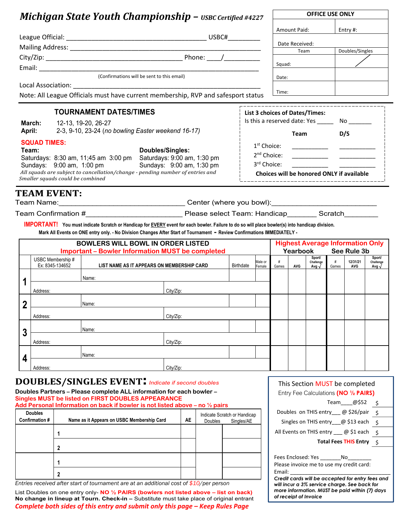### *Michigan State Youth Championship – USBC Certified #4227*

|                     | <b>Michigan State Youth Championship - <math>\text{usBC}</math> Certified #4227</b>                                                                                 |                             |      |                              |                                                   | <b>OFFICE USE ONLY</b>  |              |                          |               |                                           |                          |
|---------------------|---------------------------------------------------------------------------------------------------------------------------------------------------------------------|-----------------------------|------|------------------------------|---------------------------------------------------|-------------------------|--------------|--------------------------|---------------|-------------------------------------------|--------------------------|
|                     |                                                                                                                                                                     |                             |      |                              |                                                   |                         | Amount Paid: |                          |               | Entry #:                                  |                          |
|                     |                                                                                                                                                                     | Date Received:              |      |                              |                                                   |                         |              |                          |               |                                           |                          |
|                     |                                                                                                                                                                     |                             | Team |                              |                                                   | Doubles/Singles         |              |                          |               |                                           |                          |
|                     |                                                                                                                                                                     |                             |      |                              |                                                   |                         |              |                          |               |                                           |                          |
|                     |                                                                                                                                                                     |                             |      |                              |                                                   | Squad:                  |              |                          |               |                                           |                          |
|                     | (Confirmations will be sent to this email)                                                                                                                          |                             |      |                              |                                                   | Date:                   |              |                          |               |                                           |                          |
|                     | Note: All League Officials must have current membership, RVP and safesport status                                                                                   |                             |      |                              |                                                   | Time:                   |              |                          |               |                                           |                          |
|                     | <b>TOURNAMENT DATES/TIMES</b>                                                                                                                                       |                             |      |                              | List 3 choices of Dates/Times:                    |                         |              |                          |               |                                           |                          |
| March:              | 12-13, 19-20, 26-27                                                                                                                                                 |                             |      |                              | Is this a reserved date: Yes ________ No ________ |                         |              |                          |               |                                           |                          |
| April:              | 2-3, 9-10, 23-24 (no bowling Easter weekend 16-17)                                                                                                                  |                             |      |                              |                                                   |                         |              | <b>Team</b>              | D/S           |                                           |                          |
| <b>SQUAD TIMES:</b> |                                                                                                                                                                     |                             |      |                              | 1 <sup>st</sup> Choice:                           |                         |              |                          |               |                                           |                          |
| Team:               |                                                                                                                                                                     | Doubles/Singles:            |      |                              |                                                   | 2 <sup>nd</sup> Choice: |              |                          |               |                                           |                          |
|                     | Saturdays: 8:30 am, 11;45 am 3:00 pm                                                                                                                                | Saturdays: 9:00 am, 1:30 pm |      |                              |                                                   | 3rd Choice:             |              |                          |               |                                           |                          |
|                     | Sundays: 9:00 am, 1:00 pm<br>All squads are subject to cancellation/change - pending number of entries and                                                          | Sundays: 9:00 am, 1:30 pm   |      |                              |                                                   |                         |              |                          |               | Choices will be honored ONLY if available |                          |
|                     | Smaller squads could be combined                                                                                                                                    |                             |      |                              |                                                   |                         |              |                          |               |                                           |                          |
|                     | Mark All Events on ONE entry only. - No Division Changes After Start of Tournament - Review Confirmations IMMEDIATELY -<br><b>BOWLERS WILL BOWL IN ORDER LISTED</b> |                             |      |                              |                                                   |                         |              |                          |               | <b>Highest Average Information Only</b>   |                          |
|                     | <b>Important - Bowler Information MUST be completed</b><br>USBC Membership #                                                                                        |                             |      |                              |                                                   |                         | Yearbook     | Sport/                   |               | See Rule 3b                               | Sport/                   |
|                     | Ex: 8345-134652<br>LIST NAME AS IT APPEARS ON MEMBERSHIP CARD                                                                                                       |                             |      |                              | Male or<br>Birthdate<br>Female                    | #<br>Games              | AVG          | Challenge<br>Avg $\sqrt$ | $\#$<br>Games | 12/31/21<br>AVG                           | Challenge<br>Avg $\sqrt$ |
|                     | Name:                                                                                                                                                               |                             |      |                              |                                                   |                         |              |                          |               |                                           |                          |
| Address:            |                                                                                                                                                                     | City/Zip:                   |      |                              |                                                   |                         |              |                          |               |                                           |                          |
|                     |                                                                                                                                                                     |                             |      |                              |                                                   |                         |              |                          |               |                                           |                          |
| מ<br>∠              | Name:                                                                                                                                                               |                             |      |                              |                                                   |                         |              |                          |               |                                           |                          |
| Address:            |                                                                                                                                                                     | City/Zip:                   |      |                              |                                                   |                         |              |                          |               |                                           |                          |
| 3                   | Name:                                                                                                                                                               |                             |      |                              |                                                   |                         |              |                          |               |                                           |                          |
| Address:            |                                                                                                                                                                     | City/Zip:                   |      |                              |                                                   |                         |              |                          |               |                                           |                          |
|                     |                                                                                                                                                                     |                             |      |                              |                                                   |                         |              |                          |               |                                           |                          |
| 4                   | Name:                                                                                                                                                               |                             |      |                              |                                                   |                         |              |                          |               |                                           |                          |
| Address:            |                                                                                                                                                                     | City/Zip:                   |      |                              |                                                   |                         |              |                          |               |                                           |                          |
|                     | <b>DOUBLES/SINGLES EVENT!</b> Indicate if second doubles                                                                                                            |                             |      |                              |                                                   |                         |              |                          |               | This Section MUST be completed            |                          |
|                     | Doubles Partners - Please complete ALL information for each bowler -                                                                                                |                             |      |                              |                                                   |                         |              |                          |               | Entry Fee Calculations (NO 1/2 PAIRS)     |                          |
|                     | Singles MUST be listed on FIRST DOUBLES APPEARANCE                                                                                                                  |                             |      |                              |                                                   |                         |              |                          | Team          | 2550_                                     | - \$                     |
| <b>Doubles</b>      | Add Personal Information on back if bowler is not listed above – no $\frac{1}{2}$ pairs                                                                             |                             |      | Indicate Scratch or Handicap |                                                   |                         |              |                          |               | Doubles on THIS entry ___ @ \$26/pair \$  |                          |
| Confirmation #      | Name as it Appears on USBC Membership Card                                                                                                                          |                             | AE   | Doubles                      | Singles/AE                                        |                         |              |                          |               | Singles on THIS entry @ \$13 each \$      |                          |

| <b>Doubles</b><br>Confirmation# | Name as it Appears on USBC Membership Card | <b>AE</b> | Doubles | Indicate Scratch or Handicap<br>Singles/AE |
|---------------------------------|--------------------------------------------|-----------|---------|--------------------------------------------|
|                                 |                                            |           |         |                                            |
|                                 |                                            |           |         |                                            |
|                                 |                                            |           |         |                                            |
|                                 |                                            |           |         |                                            |
|                                 |                                            |           |         |                                            |

*Entries received after start of tournament are at an additional cost of \$10/per person*

List Doubles on one entry only- **NO ½ PAIRS (bowlers not listed above – list on back) No change in lineup at Tourn. Check-in –** Substitute must take place of original entrant *Complete both sides of this entry and submit only this page – Keep Rules Page*

Fees Enclosed: Yes \_\_\_\_\_\_\_\_ No Please invoice me to use my credit card: Email: \_\_\_\_\_\_\_\_\_\_\_\_\_\_\_\_\_\_\_\_\_\_\_\_\_\_\_\_\_\_\_\_\_\_

All Events on THIS entry  $\frac{\pi}{2}$   $\frac{\pi}{2}$  each  $\frac{\pi}{5}$ 

**Total Fees THIS Entry** \$

*Credit cards will be accepted for entry fees and will incur a 3% service charge. See back for more information. MUST be paid within (7) days of receipt of Invoice*